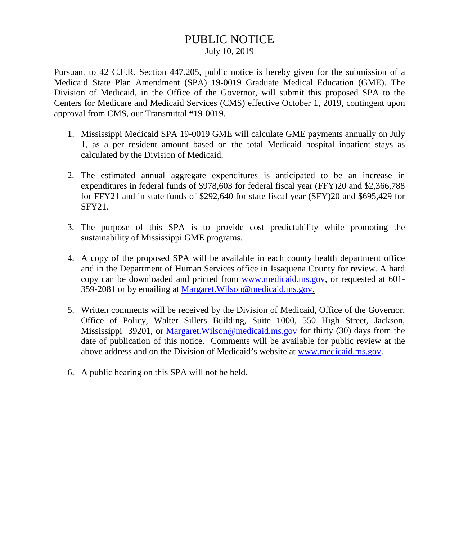# PUBLIC NOTICE July 10, 2019

Pursuant to 42 C.F.R. Section 447.205, public notice is hereby given for the submission of a Medicaid State Plan Amendment (SPA) 19-0019 Graduate Medical Education (GME). The Division of Medicaid, in the Office of the Governor, will submit this proposed SPA to the Centers for Medicare and Medicaid Services (CMS) effective October 1, 2019, contingent upon approval from CMS, our Transmittal #19-0019.

- 1. Mississippi Medicaid SPA 19-0019 GME will calculate GME payments annually on July 1, as a per resident amount based on the total Medicaid hospital inpatient stays as calculated by the Division of Medicaid.
- 2. The estimated annual aggregate expenditures is anticipated to be an increase in expenditures in federal funds of \$978,603 for federal fiscal year (FFY)20 and \$2,366,788 for FFY21 and in state funds of \$292,640 for state fiscal year (SFY)20 and \$695,429 for SFY21.
- 3. The purpose of this SPA is to provide cost predictability while promoting the sustainability of Mississippi GME programs.
- 4. A copy of the proposed SPA will be available in each county health department office and in the Department of Human Services office in Issaquena County for review. A hard copy can be downloaded and printed from [www.medicaid.ms.gov,](http://www.medicaid.ms.gov/) or requested at 601- 359-2081 or by emailing at [Margaret.Wilson@medicaid.ms.gov.](mailto:Margaret.Wilson@medicaid.ms.gov)
- 5. Written comments will be received by the Division of Medicaid, Office of the Governor, Office of Policy, Walter Sillers Building, Suite 1000, 550 High Street, Jackson, Mississippi 39201, or Margaret. Wilson@medicaid.ms.gov for thirty (30) days from the date of publication of this notice. Comments will be available for public review at the above address and on the Division of Medicaid's website at [www.medicaid.ms.gov.](http://www.medicaid.ms.gov/)
- 6. A public hearing on this SPA will not be held.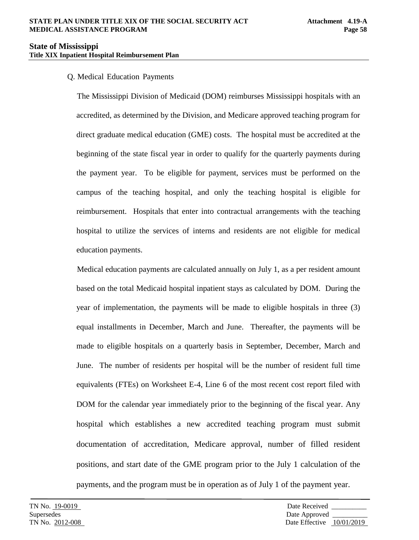## Q. Medical Education Payments

The Mississippi Division of Medicaid (DOM) reimburses Mississippi hospitals with an accredited, as determined by the Division, and Medicare approved teaching program for direct graduate medical education (GME) costs. The hospital must be accredited at the beginning of the state fiscal year in order to qualify for the quarterly payments during the payment year. To be eligible for payment, services must be performed on the campus of the teaching hospital, and only the teaching hospital is eligible for reimbursement. Hospitals that enter into contractual arrangements with the teaching hospital to utilize the services of interns and residents are not eligible for medical education payments.

Medical education payments are calculated annually on July 1, as a per resident amount based on the total Medicaid hospital inpatient stays as calculated by DOM. During the year of implementation, the payments will be made to eligible hospitals in three (3) equal installments in December, March and June. Thereafter, the payments will be made to eligible hospitals on a quarterly basis in September, December, March and June. The number of residents per hospital will be the number of resident full time equivalents (FTEs) on Worksheet E-4, Line 6 of the most recent cost report filed with DOM for the calendar year immediately prior to the beginning of the fiscal year. Any hospital which establishes a new accredited teaching program must submit documentation of accreditation, Medicare approval, number of filled resident positions, and start date of the GME program prior to the July 1 calculation of the payments, and the program must be in operation as of July 1 of the payment year.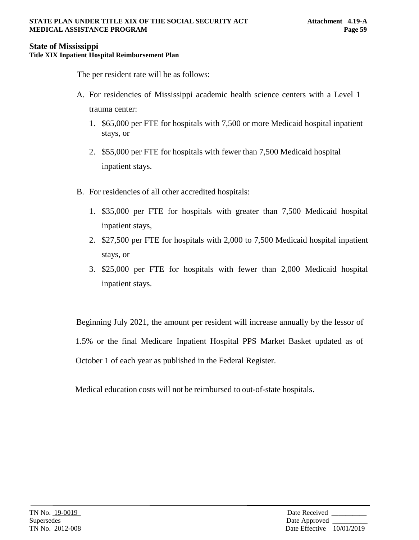The per resident rate will be as follows:

- A. For residencies of Mississippi academic health science centers with a Level 1 trauma center:
	- 1. \$65,000 per FTE for hospitals with 7,500 or more Medicaid hospital inpatient stays, or
	- 2. \$55,000 per FTE for hospitals with fewer than 7,500 Medicaid hospital inpatient stays.
- B. For residencies of all other accredited hospitals:
	- 1. \$35,000 per FTE for hospitals with greater than 7,500 Medicaid hospital inpatient stays,
	- 2. \$27,500 per FTE for hospitals with 2,000 to 7,500 Medicaid hospital inpatient stays, or
	- 3. \$25,000 per FTE for hospitals with fewer than 2,000 Medicaid hospital inpatient stays.

Beginning July 2021, the amount per resident will increase annually by the lessor of 1.5% or the final Medicare Inpatient Hospital PPS Market Basket updated as of October 1 of each year as published in the Federal Register.

Medical education costs will not be reimbursed to out-of-state hospitals.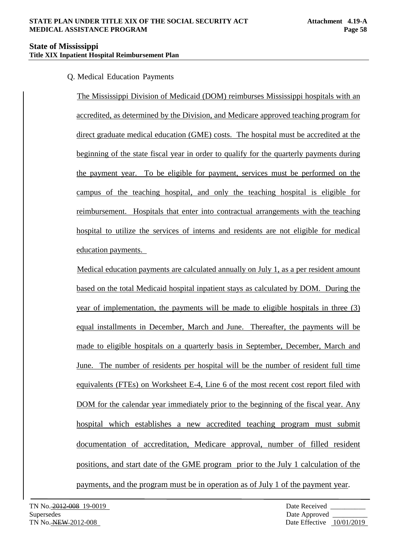## Q. Medical Education Payments

The Mississippi Division of Medicaid (DOM) reimburses Mississippi hospitals with an accredited, as determined by the Division, and Medicare approved teaching program for direct graduate medical education (GME) costs. The hospital must be accredited at the beginning of the state fiscal year in order to qualify for the quarterly payments during the payment year. To be eligible for payment, services must be performed on the campus of the teaching hospital, and only the teaching hospital is eligible for reimbursement. Hospitals that enter into contractual arrangements with the teaching hospital to utilize the services of interns and residents are not eligible for medical education payments.

Medical education payments are calculated annually on July 1, as a per resident amount based on the total Medicaid hospital inpatient stays as calculated by DOM. During the year of implementation, the payments will be made to eligible hospitals in three (3) equal installments in December, March and June. Thereafter, the payments will be made to eligible hospitals on a quarterly basis in September, December, March and June. The number of residents per hospital will be the number of resident full time equivalents (FTEs) on Worksheet E-4, Line 6 of the most recent cost report filed with DOM for the calendar year immediately prior to the beginning of the fiscal year. Any hospital which establishes a new accredited teaching program must submit documentation of accreditation, Medicare approval, number of filled resident positions, and start date of the GME program prior to the July 1 calculation of the payments, and the program must be in operation as of July 1 of the payment year.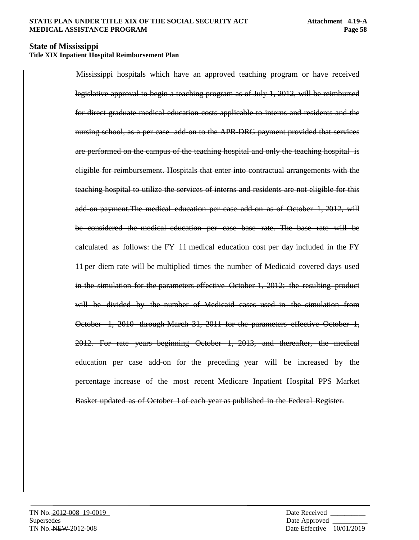Mississippi hospitals which have an approved teaching program or have received legislative approval to begin a teaching program as of July 1, 2012, will be reimbursed for direct graduate medical education costs applicable to interns and residents and the nursing school, as a per case add-on to the APR-DRG payment provided that services are performed on the campus of the teaching hospital and only the teaching hospital is eligible for reimbursement. Hospitals that enter into contractual arrangements with the teaching hospital to utilize the services of interns and residents are not eligible for this add-on payment.The medical education per case add-on as of October 1, 2012, will be considered the medical education per case base rate. The base rate will be calculated as follows: the FY 11 medical education cost per day included in the FY 11 per diem rate will be multiplied times the number of Medicaid covered days used in the simulation for the parameters effective October 1, 2012; the resulting product will be divided by the number of Medicaid cases used in the simulation from October 1, 2010 through March 31, 2011 for the parameters effective October 1, 2012. For rate years beginning October 1, 2013, and thereafter, the medical education per case add-on for the preceding year will be increased by the percentage increase of the most recent Medicare Inpatient Hospital PPS Market Basket updated as of October 1of each year as published in the Federal Register.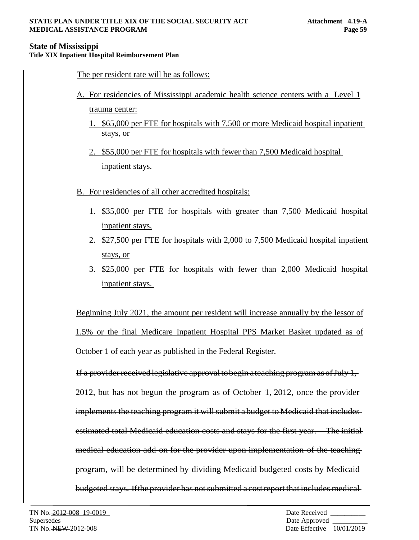The per resident rate will be as follows:

- A. For residencies of Mississippi academic health science centers with a Level 1 trauma center:
	- 1. \$65,000 per FTE for hospitals with 7,500 or more Medicaid hospital inpatient stays, or
	- 2. \$55,000 per FTE for hospitals with fewer than 7,500 Medicaid hospital inpatient stays.
- B. For residencies of all other accredited hospitals:
	- 1. \$35,000 per FTE for hospitals with greater than 7,500 Medicaid hospital inpatient stays,
	- 2. \$27,500 per FTE for hospitals with 2,000 to 7,500 Medicaid hospital inpatient stays, or
	- 3. \$25,000 per FTE for hospitals with fewer than 2,000 Medicaid hospital inpatient stays.

Beginning July 2021, the amount per resident will increase annually by the lessor of 1.5% or the final Medicare Inpatient Hospital PPS Market Basket updated as of October 1 of each year as published in the Federal Register.

If a providerreceived legislative approval tobegin ateaching programasofJuly 1, 2012, but has not begun the program as of October 1, 2012, once the provider implements the teaching program it will submit a budget to Medicaid that includesestimated total Medicaid education costs and stays for the first year. The initial medical education add-on for the provider upon implementation of the teaching program, will be determined by dividing Medicaid budgeted costs by Medicaid budgeted stays. Ifthe provider has notsubmitted a costreport that includes medical